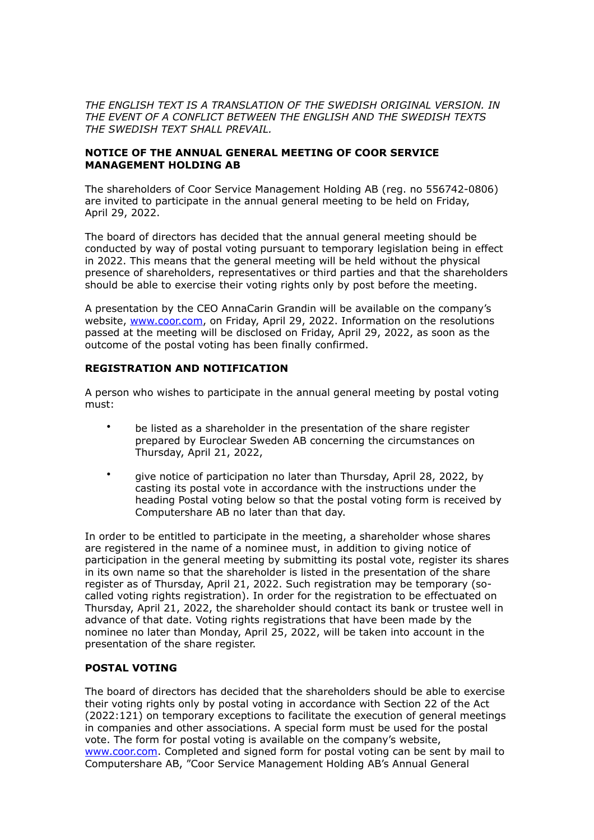*THE ENGLISH TEXT IS A TRANSLATION OF THE SWEDISH ORIGINAL VERSION. IN THE EVENT OF A CONFLICT BETWEEN THE ENGLISH AND THE SWEDISH TEXTS THE SWEDISH TEXT SHALL PREVAIL.*

### **NOTICE OF THE ANNUAL GENERAL MEETING OF COOR SERVICE MANAGEMENT HOLDING AB**

The shareholders of Coor Service Management Holding AB (reg. no 556742-0806) are invited to participate in the annual general meeting to be held on Friday, April 29, 2022.

The board of directors has decided that the annual general meeting should be conducted by way of postal voting pursuant to temporary legislation being in effect in 2022. This means that the general meeting will be held without the physical presence of shareholders, representatives or third parties and that the shareholders should be able to exercise their voting rights only by post before the meeting.

A presentation by the CEO AnnaCarin Grandin will be available on the company's website, [www.coor.com](http://www.coor.com), on Friday, April 29, 2022. Information on the resolutions passed at the meeting will be disclosed on Friday, April 29, 2022, as soon as the outcome of the postal voting has been finally confirmed.

# **REGISTRATION AND NOTIFICATION**

A person who wishes to participate in the annual general meeting by postal voting must:

- be listed as a shareholder in the presentation of the share register prepared by Euroclear Sweden AB concerning the circumstances on Thursday, April 21, 2022,
- give notice of participation no later than Thursday, April 28, 2022, by casting its postal vote in accordance with the instructions under the heading Postal voting below so that the postal voting form is received by Computershare AB no later than that day.

In order to be entitled to participate in the meeting, a shareholder whose shares are registered in the name of a nominee must, in addition to giving notice of participation in the general meeting by submitting its postal vote, register its shares in its own name so that the shareholder is listed in the presentation of the share register as of Thursday, April 21, 2022. Such registration may be temporary (socalled voting rights registration). In order for the registration to be effectuated on Thursday, April 21, 2022, the shareholder should contact its bank or trustee well in advance of that date. Voting rights registrations that have been made by the nominee no later than Monday, April 25, 2022, will be taken into account in the presentation of the share register.

### **POSTAL VOTING**

The board of directors has decided that the shareholders should be able to exercise their voting rights only by postal voting in accordance with Section 22 of the Act (2022:121) on temporary exceptions to facilitate the execution of general meetings in companies and other associations. A special form must be used for the postal vote. The form for postal voting is available on the company's website, [www.coor.com.](http://www.coor.com) Completed and signed form for postal voting can be sent by mail to Computershare AB, "Coor Service Management Holding AB's Annual General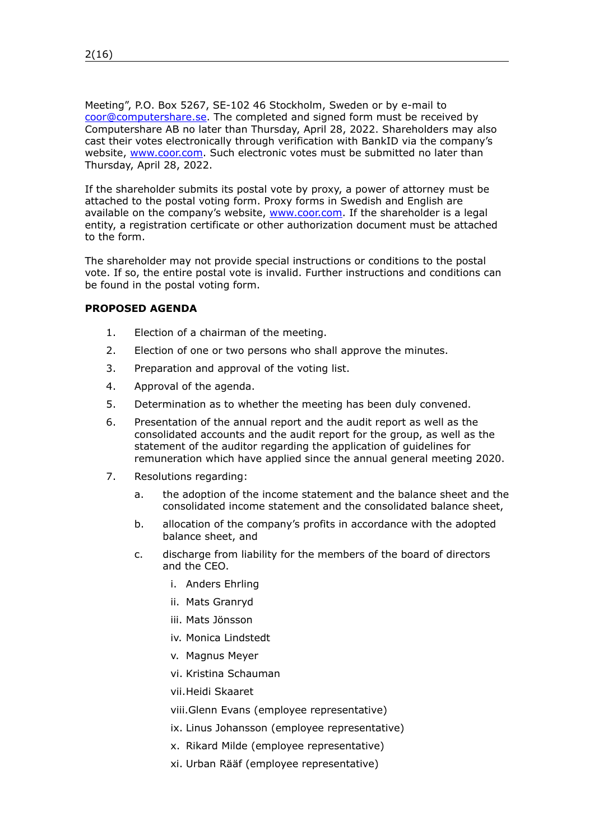Meeting", P.O. Box 5267, SE-102 46 Stockholm, Sweden or by e-mail to [coor@computershare.se.](mailto:coor@computershare.se) The completed and signed form must be received by Computershare AB no later than Thursday, April 28, 2022. Shareholders may also cast their votes electronically through verification with BankID via the company's website, [www.coor.com](http://www.coor.com). Such electronic votes must be submitted no later than Thursday, April 28, 2022.

If the shareholder submits its postal vote by proxy, a power of attorney must be attached to the postal voting form. Proxy forms in Swedish and English are available on the company's website, [www.coor.com.](http://www.coor.com) If the shareholder is a legal entity, a registration certificate or other authorization document must be attached to the form.

The shareholder may not provide special instructions or conditions to the postal vote. If so, the entire postal vote is invalid. Further instructions and conditions can be found in the postal voting form.

# **PROPOSED AGENDA**

- <span id="page-1-0"></span>1. Election of a chairman of the meeting.
- <span id="page-1-1"></span>2. Election of one or two persons who shall approve the minutes.
- <span id="page-1-2"></span>3. Preparation and approval of the voting list.
- 4. Approval of the agenda.
- 5. Determination as to whether the meeting has been duly convened.
- 6. Presentation of the annual report and the audit report as well as the consolidated accounts and the audit report for the group, as well as the statement of the auditor regarding the application of guidelines for remuneration which have applied since the annual general meeting 2020.
- <span id="page-1-3"></span>7. Resolutions regarding:
	- a. the adoption of the income statement and the balance sheet and the consolidated income statement and the consolidated balance sheet,
	- b. allocation of the company's profits in accordance with the adopted balance sheet, and
	- c. discharge from liability for the members of the board of directors and the CEO.
		- i. Anders Ehrling
		- ii. Mats Granryd
		- iii. Mats Jönsson
		- iv. Monica Lindstedt
		- v. Magnus Meyer
		- vi. Kristina Schauman
		- vii.Heidi Skaaret

viii.Glenn Evans (employee representative)

- ix. Linus Johansson (employee representative)
- x. Rikard Milde (employee representative)
- xi. Urban Rääf (employee representative)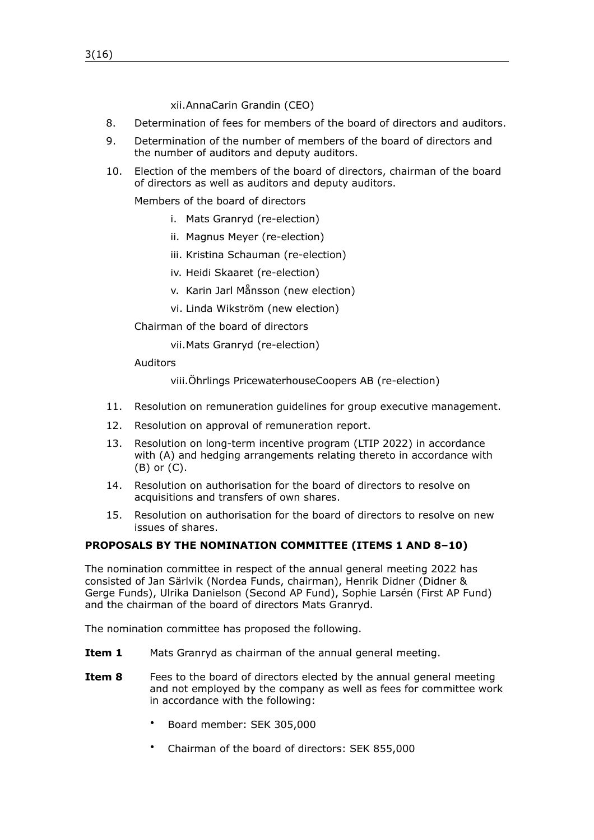xii.AnnaCarin Grandin (CEO)

- <span id="page-2-0"></span>8. Determination of fees for members of the board of directors and auditors.
- <span id="page-2-2"></span>9. Determination of the number of members of the board of directors and the number of auditors and deputy auditors.
- <span id="page-2-1"></span>10. Election of the members of the board of directors, chairman of the board of directors as well as auditors and deputy auditors.

Members of the board of directors

- i. Mats Granryd (re-election)
- ii. Magnus Meyer (re-election)
- iii. Kristina Schauman (re-election)
- iv. Heidi Skaaret (re-election)
- v. Karin Jarl Månsson (new election)
- vi. Linda Wikström (new election)
- Chairman of the board of directors
	- vii.Mats Granryd (re-election)

### Auditors

viii.Öhrlings PricewaterhouseCoopers AB (re-election)

- <span id="page-2-3"></span>11. Resolution on remuneration guidelines for group executive management.
- <span id="page-2-4"></span>12. Resolution on approval of remuneration report.
- <span id="page-2-5"></span>13. Resolution on long-term incentive program (LTIP 2022) in accordance with (A) and hedging arrangements relating thereto in accordance with (B) or (C).
- <span id="page-2-6"></span>14. Resolution on authorisation for the board of directors to resolve on acquisitions and transfers of own shares.
- <span id="page-2-7"></span>15. Resolution on authorisation for the board of directors to resolve on new issues of shares.

### **PROPOSALS BY THE NOMINATION COMMITTEE (ITEMS [1](#page-1-0) AND [8](#page-2-0)[–10](#page-2-1))**

The nomination committee in respect of the annual general meeting 2022 has consisted of Jan Särlvik (Nordea Funds, chairman), Henrik Didner (Didner & Gerge Funds), Ulrika Danielson (Second AP Fund), Sophie Larsén (First AP Fund) and the chairman of the board of directors Mats Granryd.

The nomination committee has proposed the following.

- **Item [1](#page-1-0)** Mats Granryd as chairman of the annual general meeting.
- **Item [8](#page-2-0)** Fees to the board of directors elected by the annual general meeting and not employed by the company as well as fees for committee work in accordance with the following:
	- Board member: SEK 305,000
	- Chairman of the board of directors: SEK 855,000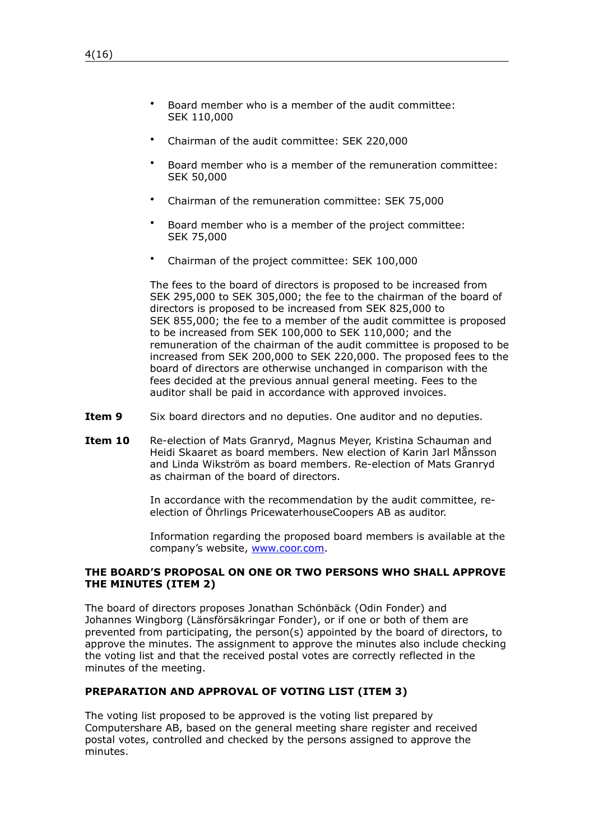- Board member who is a member of the audit committee: SEK 110,000
- Chairman of the audit committee: SEK 220,000
- Board member who is a member of the remuneration committee: SEK 50,000
- Chairman of the remuneration committee: SEK 75,000
- Board member who is a member of the project committee: SEK 75,000
- Chairman of the project committee: SEK 100,000

The fees to the board of directors is proposed to be increased from SEK 295,000 to SEK 305,000; the fee to the chairman of the board of directors is proposed to be increased from SEK 825,000 to SEK 855,000; the fee to a member of the audit committee is proposed to be increased from SEK 100,000 to SEK 110,000; and the remuneration of the chairman of the audit committee is proposed to be increased from SEK 200,000 to SEK 220,000. The proposed fees to the board of directors are otherwise unchanged in comparison with the fees decided at the previous annual general meeting. Fees to the auditor shall be paid in accordance with approved invoices.

- **Item [9](#page-2-2)** Six board directors and no deputies. One auditor and no deputies.
- **Item [10](#page-2-1)** Re-election of Mats Granryd, Magnus Meyer, Kristina Schauman and Heidi Skaaret as board members. New election of Karin Jarl Månsson and Linda Wikström as board members. Re-election of Mats Granryd as chairman of the board of directors.

In accordance with the recommendation by the audit committee, reelection of Öhrlings PricewaterhouseCoopers AB as auditor.

Information regarding the proposed board members is available at the company's website, [www.coor.com.](http://www.coor.com)

### **THE BOARD'S PROPOSAL ON ONE OR TWO PERSONS WHO SHALL APPROVE THE MINUTES (ITEM [2\)](#page-1-1)**

The board of directors proposes Jonathan Schönbäck (Odin Fonder) and Johannes Wingborg (Länsförsäkringar Fonder), or if one or both of them are prevented from participating, the person(s) appointed by the board of directors, to approve the minutes. The assignment to approve the minutes also include checking the voting list and that the received postal votes are correctly reflected in the minutes of the meeting.

## **PREPARATION AND APPROVAL OF VOTING LIST (ITEM [3\)](#page-1-2)**

The voting list proposed to be approved is the voting list prepared by Computershare AB, based on the general meeting share register and received postal votes, controlled and checked by the persons assigned to approve the minutes.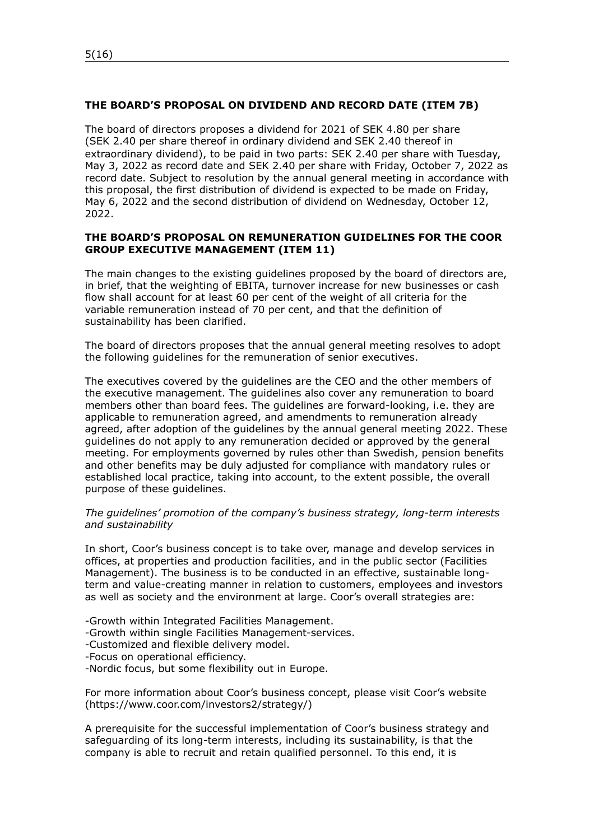### **THE BOARD'S PROPOSAL ON DIVIDEND AND RECORD DATE (ITEM [7B](#page-1-3))**

The board of directors proposes a dividend for 2021 of SEK 4.80 per share (SEK 2.40 per share thereof in ordinary dividend and SEK 2.40 thereof in extraordinary dividend), to be paid in two parts: SEK 2.40 per share with Tuesday, May 3, 2022 as record date and SEK 2.40 per share with Friday, October 7, 2022 as record date. Subject to resolution by the annual general meeting in accordance with this proposal, the first distribution of dividend is expected to be made on Friday, May 6, 2022 and the second distribution of dividend on Wednesday, October 12, 2022.

### **THE BOARD'S PROPOSAL ON REMUNERATION GUIDELINES FOR THE COOR GROUP EXECUTIVE MANAGEMENT (ITEM [11](#page-2-3))**

The main changes to the existing guidelines proposed by the board of directors are, in brief, that the weighting of EBITA, turnover increase for new businesses or cash flow shall account for at least 60 per cent of the weight of all criteria for the variable remuneration instead of 70 per cent, and that the definition of sustainability has been clarified.

The board of directors proposes that the annual general meeting resolves to adopt the following guidelines for the remuneration of senior executives.

The executives covered by the guidelines are the CEO and the other members of the executive management. The guidelines also cover any remuneration to board members other than board fees. The guidelines are forward-looking, i.e. they are applicable to remuneration agreed, and amendments to remuneration already agreed, after adoption of the guidelines by the annual general meeting 2022. These guidelines do not apply to any remuneration decided or approved by the general meeting. For employments governed by rules other than Swedish, pension benefits and other benefits may be duly adjusted for compliance with mandatory rules or established local practice, taking into account, to the extent possible, the overall purpose of these guidelines.

#### *The guidelines' promotion of the company's business strategy, long-term interests and sustainability*

In short, Coor's business concept is to take over, manage and develop services in offices, at properties and production facilities, and in the public sector (Facilities Management). The business is to be conducted in an effective, sustainable longterm and value-creating manner in relation to customers, employees and investors as well as society and the environment at large. Coor's overall strategies are:

-Growth within Integrated Facilities Management.

- -Growth within single Facilities Management-services.
- -Customized and flexible delivery model.
- -Focus on operational efficiency.
- -Nordic focus, but some flexibility out in Europe.

For more information about Coor's business concept, please visit Coor's website (https://www.coor.com/investors2/strategy/)

A prerequisite for the successful implementation of Coor's business strategy and safeguarding of its long-term interests, including its sustainability, is that the company is able to recruit and retain qualified personnel. To this end, it is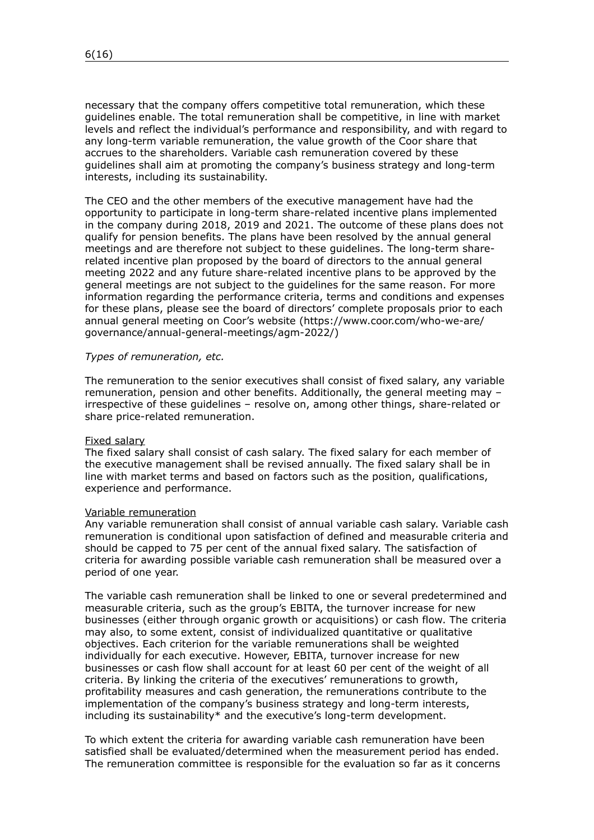necessary that the company offers competitive total remuneration, which these guidelines enable. The total remuneration shall be competitive, in line with market levels and reflect the individual's performance and responsibility, and with regard to any long-term variable remuneration, the value growth of the Coor share that accrues to the shareholders. Variable cash remuneration covered by these guidelines shall aim at promoting the company's business strategy and long-term interests, including its sustainability.

The CEO and the other members of the executive management have had the opportunity to participate in long-term share-related incentive plans implemented in the company during 2018, 2019 and 2021. The outcome of these plans does not qualify for pension benefits. The plans have been resolved by the annual general meetings and are therefore not subject to these guidelines. The long-term sharerelated incentive plan proposed by the board of directors to the annual general meeting 2022 and any future share-related incentive plans to be approved by the general meetings are not subject to the guidelines for the same reason. For more information regarding the performance criteria, terms and conditions and expenses for these plans, please see the board of directors' complete proposals prior to each annual general meeting on Coor's website (https://www.coor.com/who-we-are/ governance/annual-general-meetings/agm-2022/)

#### *Types of remuneration, etc.*

The remuneration to the senior executives shall consist of fixed salary, any variable remuneration, pension and other benefits. Additionally, the general meeting may – irrespective of these guidelines – resolve on, among other things, share-related or share price-related remuneration.

#### Fixed salary

The fixed salary shall consist of cash salary. The fixed salary for each member of the executive management shall be revised annually. The fixed salary shall be in line with market terms and based on factors such as the position, qualifications, experience and performance.

#### Variable remuneration

Any variable remuneration shall consist of annual variable cash salary. Variable cash remuneration is conditional upon satisfaction of defined and measurable criteria and should be capped to 75 per cent of the annual fixed salary. The satisfaction of criteria for awarding possible variable cash remuneration shall be measured over a period of one year.

The variable cash remuneration shall be linked to one or several predetermined and measurable criteria, such as the group's EBITA, the turnover increase for new businesses (either through organic growth or acquisitions) or cash flow. The criteria may also, to some extent, consist of individualized quantitative or qualitative objectives. Each criterion for the variable remunerations shall be weighted individually for each executive. However, EBITA, turnover increase for new businesses or cash flow shall account for at least 60 per cent of the weight of all criteria. By linking the criteria of the executives' remunerations to growth, profitability measures and cash generation, the remunerations contribute to the implementation of the company's business strategy and long-term interests, including its sustainability\* and the executive's long-term development.

To which extent the criteria for awarding variable cash remuneration have been satisfied shall be evaluated/determined when the measurement period has ended. The remuneration committee is responsible for the evaluation so far as it concerns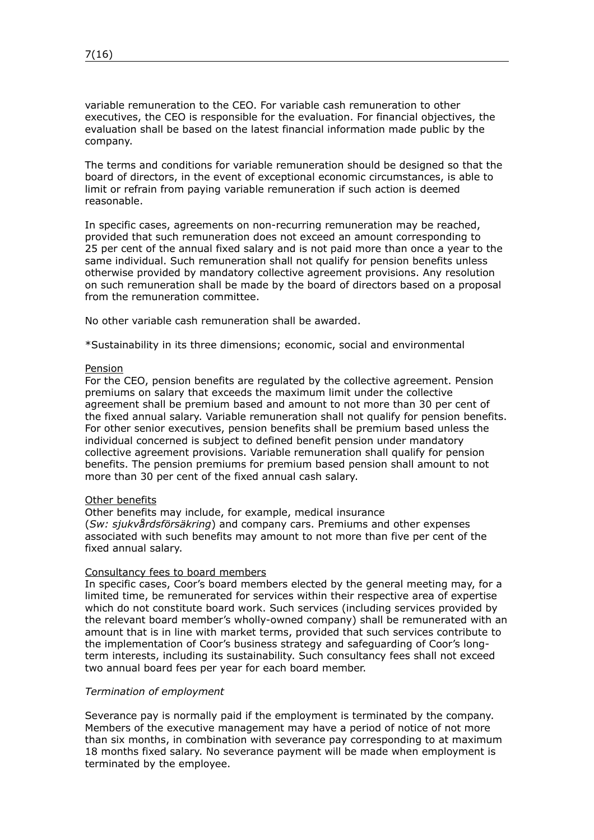variable remuneration to the CEO. For variable cash remuneration to other executives, the CEO is responsible for the evaluation. For financial objectives, the evaluation shall be based on the latest financial information made public by the company.

The terms and conditions for variable remuneration should be designed so that the board of directors, in the event of exceptional economic circumstances, is able to limit or refrain from paying variable remuneration if such action is deemed reasonable.

In specific cases, agreements on non-recurring remuneration may be reached, provided that such remuneration does not exceed an amount corresponding to 25 per cent of the annual fixed salary and is not paid more than once a year to the same individual. Such remuneration shall not qualify for pension benefits unless otherwise provided by mandatory collective agreement provisions. Any resolution on such remuneration shall be made by the board of directors based on a proposal from the remuneration committee.

No other variable cash remuneration shall be awarded.

\*Sustainability in its three dimensions; economic, social and environmental

#### Pension

For the CEO, pension benefits are regulated by the collective agreement. Pension premiums on salary that exceeds the maximum limit under the collective agreement shall be premium based and amount to not more than 30 per cent of the fixed annual salary. Variable remuneration shall not qualify for pension benefits. For other senior executives, pension benefits shall be premium based unless the individual concerned is subject to defined benefit pension under mandatory collective agreement provisions. Variable remuneration shall qualify for pension benefits. The pension premiums for premium based pension shall amount to not more than 30 per cent of the fixed annual cash salary.

#### Other benefits

Other benefits may include, for example, medical insurance (*Sw: sjukvårdsförsäkring*) and company cars. Premiums and other expenses associated with such benefits may amount to not more than five per cent of the fixed annual salary.

### Consultancy fees to board members

In specific cases, Coor's board members elected by the general meeting may, for a limited time, be remunerated for services within their respective area of expertise which do not constitute board work. Such services (including services provided by the relevant board member's wholly-owned company) shall be remunerated with an amount that is in line with market terms, provided that such services contribute to the implementation of Coor's business strategy and safeguarding of Coor's longterm interests, including its sustainability. Such consultancy fees shall not exceed two annual board fees per year for each board member.

#### *Termination of employment*

Severance pay is normally paid if the employment is terminated by the company. Members of the executive management may have a period of notice of not more than six months, in combination with severance pay corresponding to at maximum 18 months fixed salary. No severance payment will be made when employment is terminated by the employee.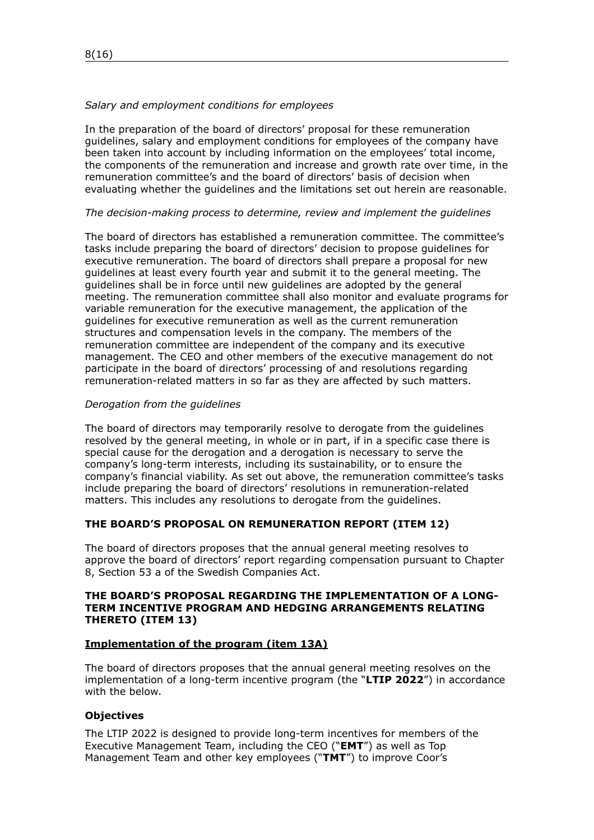### *Salary and employment conditions for employees*

In the preparation of the board of directors' proposal for these remuneration guidelines, salary and employment conditions for employees of the company have been taken into account by including information on the employees' total income, the components of the remuneration and increase and growth rate over time, in the remuneration committee's and the board of directors' basis of decision when evaluating whether the guidelines and the limitations set out herein are reasonable.

### *The decision-making process to determine, review and implement the guidelines*

The board of directors has established a remuneration committee. The committee's tasks include preparing the board of directors' decision to propose guidelines for executive remuneration. The board of directors shall prepare a proposal for new guidelines at least every fourth year and submit it to the general meeting. The guidelines shall be in force until new guidelines are adopted by the general meeting. The remuneration committee shall also monitor and evaluate programs for variable remuneration for the executive management, the application of the guidelines for executive remuneration as well as the current remuneration structures and compensation levels in the company. The members of the remuneration committee are independent of the company and its executive management. The CEO and other members of the executive management do not participate in the board of directors' processing of and resolutions regarding remuneration-related matters in so far as they are affected by such matters.

### *Derogation from the guidelines*

The board of directors may temporarily resolve to derogate from the guidelines resolved by the general meeting, in whole or in part, if in a specific case there is special cause for the derogation and a derogation is necessary to serve the company's long-term interests, including its sustainability, or to ensure the company's financial viability. As set out above, the remuneration committee's tasks include preparing the board of directors' resolutions in remuneration-related matters. This includes any resolutions to derogate from the guidelines.

### **THE BOARD'S PROPOSAL ON REMUNERATION REPORT (ITEM [12\)](#page-2-4)**

The board of directors proposes that the annual general meeting resolves to approve the board of directors' report regarding compensation pursuant to Chapter 8, Section 53 a of the Swedish Companies Act.

### **THE BOARD'S PROPOSAL REGARDING THE IMPLEMENTATION OF A LONG-TERM INCENTIVE PROGRAM AND HEDGING ARRANGEMENTS RELATING THERETO (ITEM [13](#page-2-5))**

#### **Implementation of the program (item [13](#page-2-5)A)**

The board of directors proposes that the annual general meeting resolves on the implementation of a long-term incentive program (the "**LTIP 2022**") in accordance with the below.

### **Objectives**

The LTIP 2022 is designed to provide long-term incentives for members of the Executive Management Team, including the CEO ("**EMT**") as well as Top Management Team and other key employees ("**TMT**") to improve Coor's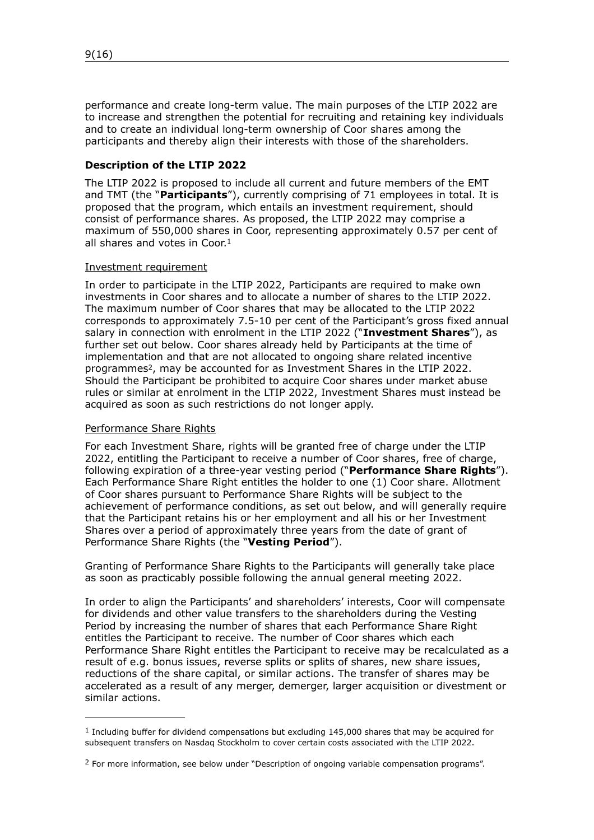performance and create long-term value. The main purposes of the LTIP 2022 are to increase and strengthen the potential for recruiting and retaining key individuals and to create an individual long-term ownership of Coor shares among the participants and thereby align their interests with those of the shareholders.

## **Description of the LTIP 2022**

The LTIP 2022 is proposed to include all current and future members of the EMT and TMT (the "**Participants**"), currently comprising of 71 employees in total. It is proposed that the program, which entails an investment requirement, should consist of performance shares. As proposed, the LTIP 2022 may comprise a maximum of 550,000 shares in Coor, representing approximately 0.57 per cent of all shares and votes in Coor[.1](#page-8-0)

### <span id="page-8-2"></span>Investment requirement

In order to participate in the LTIP 2022, Participants are required to make own investments in Coor shares and to allocate a number of shares to the LTIP 2022. The maximum number of Coor shares that may be allocated to the LTIP 2022 corresponds to approximately 7.5-10 per cent of the Participant's gross fixed annual salary in connection with enrolment in the LTIP 2022 ("**Investment Shares**"), as further set out below. Coor shares already held by Participants at the time of implementation and that are not allocated to ongoing share related incentive programmes<sup>2</sup>[,](#page-8-1) may be accounted for as Investment Shares in the LTIP [2](#page-8-1)022. Should the Participant be prohibited to acquire Coor shares under market abuse rules or similar at enrolment in the LTIP 2022, Investment Shares must instead be acquired as soon as such restrictions do not longer apply.

### <span id="page-8-3"></span>Performance Share Rights

For each Investment Share, rights will be granted free of charge under the LTIP 2022, entitling the Participant to receive a number of Coor shares, free of charge, following expiration of a three-year vesting period ("**Performance Share Rights**"). Each Performance Share Right entitles the holder to one (1) Coor share. Allotment of Coor shares pursuant to Performance Share Rights will be subject to the achievement of performance conditions, as set out below, and will generally require that the Participant retains his or her employment and all his or her Investment Shares over a period of approximately three years from the date of grant of Performance Share Rights (the "**Vesting Period**").

Granting of Performance Share Rights to the Participants will generally take place as soon as practicably possible following the annual general meeting 2022.

In order to align the Participants' and shareholders' interests, Coor will compensate for dividends and other value transfers to the shareholders during the Vesting Period by increasing the number of shares that each Performance Share Right entitles the Participant to receive. The number of Coor shares which each Performance Share Right entitles the Participant to receive may be recalculated as a result of e.g. bonus issues, reverse splits or splits of shares, new share issues, reductions of the share capital, or similar actions. The transfer of shares may be accelerated as a result of any merger, demerger, larger acquisition or divestment or similar actions.

<span id="page-8-0"></span> $1$  Including buffer for dividend compensations but excluding 145,000 shares that may be acquired for subsequent transfers on Nasdaq Stockholm to cover certain costs associated with the LTIP 2022.

<span id="page-8-1"></span><sup>&</sup>lt;sup>[2](#page-8-3)</sup> For more information, see below under "Description of ongoing variable compensation programs".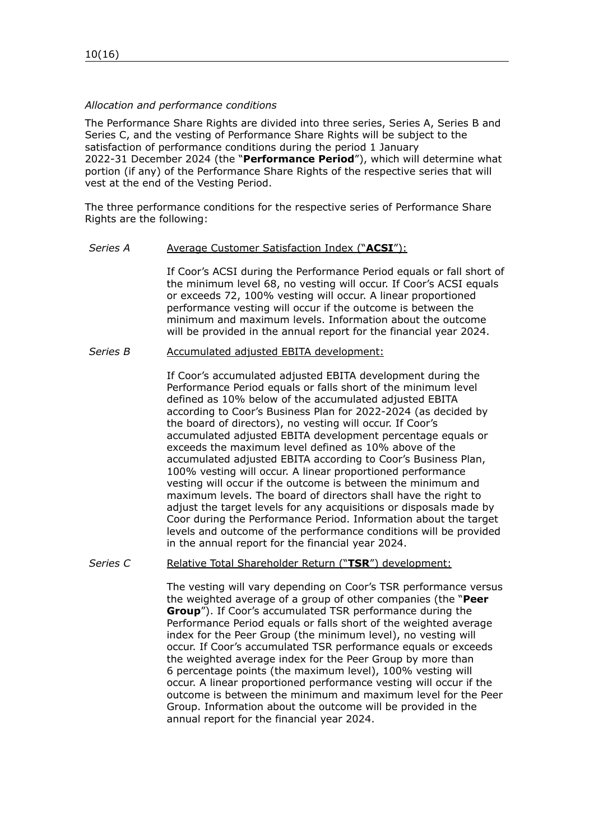### *Allocation and performance conditions*

The Performance Share Rights are divided into three series, Series A, Series B and Series C, and the vesting of Performance Share Rights will be subject to the satisfaction of performance conditions during the period 1 January 2022-31 December 2024 (the "**Performance Period**"), which will determine what portion (if any) of the Performance Share Rights of the respective series that will vest at the end of the Vesting Period.

The three performance conditions for the respective series of Performance Share Rights are the following:

#### *Series A* Average Customer Satisfaction Index ("**ACSI**"):

If Coor's ACSI during the Performance Period equals or fall short of the minimum level 68, no vesting will occur. If Coor's ACSI equals or exceeds 72, 100% vesting will occur. A linear proportioned performance vesting will occur if the outcome is between the minimum and maximum levels. Information about the outcome will be provided in the annual report for the financial year 2024.

### *Series B* Accumulated adjusted EBITA development:

If Coor's accumulated adjusted EBITA development during the Performance Period equals or falls short of the minimum level defined as 10% below of the accumulated adjusted EBITA according to Coor's Business Plan for 2022-2024 (as decided by the board of directors), no vesting will occur. If Coor's accumulated adjusted EBITA development percentage equals or exceeds the maximum level defined as 10% above of the accumulated adjusted EBITA according to Coor's Business Plan, 100% vesting will occur. A linear proportioned performance vesting will occur if the outcome is between the minimum and maximum levels. The board of directors shall have the right to adjust the target levels for any acquisitions or disposals made by Coor during the Performance Period. Information about the target levels and outcome of the performance conditions will be provided in the annual report for the financial year 2024.

### Series C Relative Total Shareholder Return ("TSR") development:

The vesting will vary depending on Coor's TSR performance versus the weighted average of a group of other companies (the "**Peer Group**"). If Coor's accumulated TSR performance during the Performance Period equals or falls short of the weighted average index for the Peer Group (the minimum level), no vesting will occur. If Coor's accumulated TSR performance equals or exceeds the weighted average index for the Peer Group by more than 6 percentage points (the maximum level), 100% vesting will occur. A linear proportioned performance vesting will occur if the outcome is between the minimum and maximum level for the Peer Group. Information about the outcome will be provided in the annual report for the financial year 2024.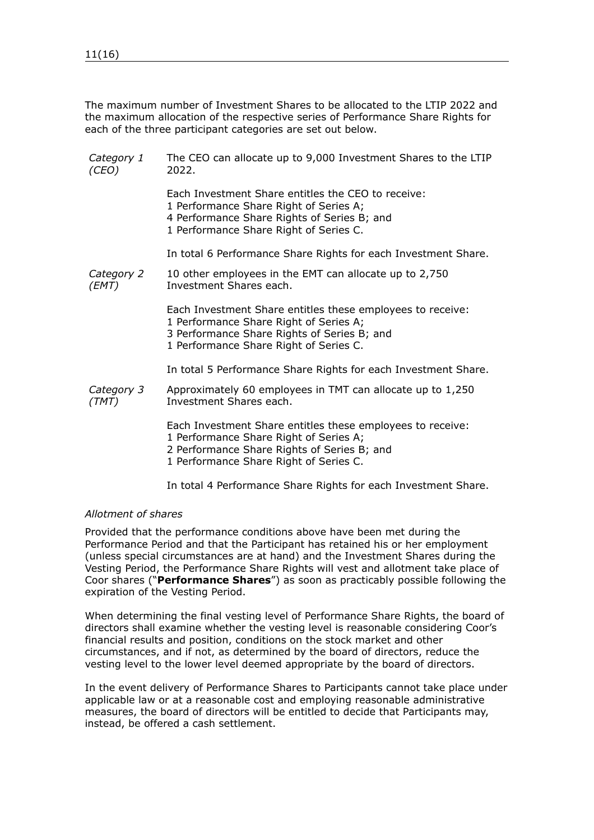The maximum number of Investment Shares to be allocated to the LTIP 2022 and the maximum allocation of the respective series of Performance Share Rights for each of the three participant categories are set out below.

| Category 1<br>(CEO) | The CEO can allocate up to 9,000 Investment Shares to the LTIP<br>2022.                                                                                                                       |
|---------------------|-----------------------------------------------------------------------------------------------------------------------------------------------------------------------------------------------|
|                     | Each Investment Share entitles the CEO to receive:<br>1 Performance Share Right of Series A;<br>4 Performance Share Rights of Series B; and<br>1 Performance Share Right of Series C.         |
|                     | In total 6 Performance Share Rights for each Investment Share.                                                                                                                                |
| Category 2<br>(EMT) | 10 other employees in the EMT can allocate up to 2,750<br>Investment Shares each.                                                                                                             |
|                     | Each Investment Share entitles these employees to receive:<br>1 Performance Share Right of Series A;<br>3 Performance Share Rights of Series B; and<br>1 Performance Share Right of Series C. |
|                     | In total 5 Performance Share Rights for each Investment Share.                                                                                                                                |
| Category 3<br>(TMT) | Approximately 60 employees in TMT can allocate up to 1,250<br>Investment Shares each.                                                                                                         |
|                     | Each Investment Share entitles these employees to receive:<br>1 Performance Share Right of Series A;<br>2 Performance Share Rights of Series B; and<br>1 Performance Share Right of Series C. |
|                     |                                                                                                                                                                                               |

In total 4 Performance Share Rights for each Investment Share.

### *Allotment of shares*

Provided that the performance conditions above have been met during the Performance Period and that the Participant has retained his or her employment (unless special circumstances are at hand) and the Investment Shares during the Vesting Period, the Performance Share Rights will vest and allotment take place of Coor shares ("**Performance Shares**") as soon as practicably possible following the expiration of the Vesting Period.

When determining the final vesting level of Performance Share Rights, the board of directors shall examine whether the vesting level is reasonable considering Coor's financial results and position, conditions on the stock market and other circumstances, and if not, as determined by the board of directors, reduce the vesting level to the lower level deemed appropriate by the board of directors.

In the event delivery of Performance Shares to Participants cannot take place under applicable law or at a reasonable cost and employing reasonable administrative measures, the board of directors will be entitled to decide that Participants may, instead, be offered a cash settlement.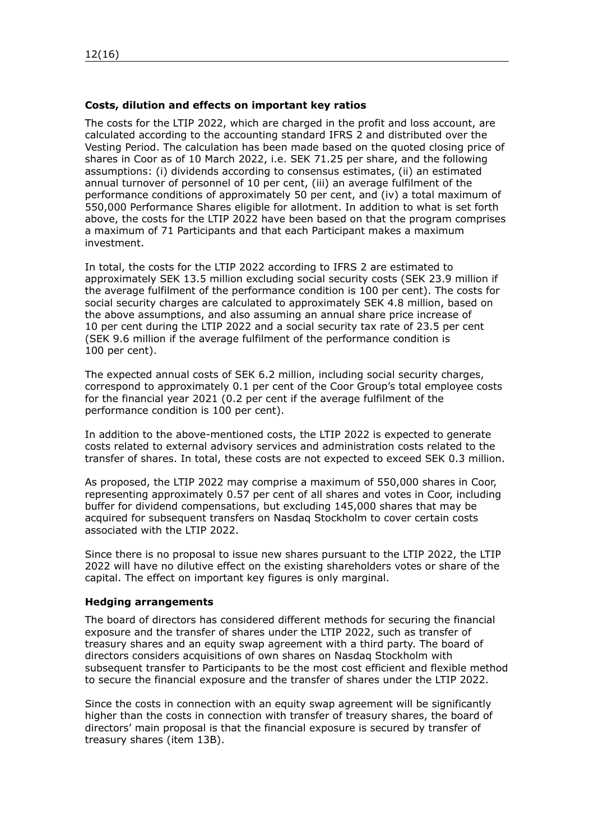# **Costs, dilution and effects on important key ratios**

The costs for the LTIP 2022, which are charged in the profit and loss account, are calculated according to the accounting standard IFRS 2 and distributed over the Vesting Period. The calculation has been made based on the quoted closing price of shares in Coor as of 10 March 2022, i.e. SEK 71.25 per share, and the following assumptions: (i) dividends according to consensus estimates, (ii) an estimated annual turnover of personnel of 10 per cent, (iii) an average fulfilment of the performance conditions of approximately 50 per cent, and (iv) a total maximum of 550,000 Performance Shares eligible for allotment. In addition to what is set forth above, the costs for the LTIP 2022 have been based on that the program comprises a maximum of 71 Participants and that each Participant makes a maximum investment.

In total, the costs for the LTIP 2022 according to IFRS 2 are estimated to approximately SEK 13.5 million excluding social security costs (SEK 23.9 million if the average fulfilment of the performance condition is 100 per cent). The costs for social security charges are calculated to approximately SEK 4.8 million, based on the above assumptions, and also assuming an annual share price increase of 10 per cent during the LTIP 2022 and a social security tax rate of 23.5 per cent (SEK 9.6 million if the average fulfilment of the performance condition is 100 per cent).

The expected annual costs of SEK 6.2 million, including social security charges, correspond to approximately 0.1 per cent of the Coor Group's total employee costs for the financial year 2021 (0.2 per cent if the average fulfilment of the performance condition is 100 per cent).

In addition to the above-mentioned costs, the LTIP 2022 is expected to generate costs related to external advisory services and administration costs related to the transfer of shares. In total, these costs are not expected to exceed SEK 0.3 million.

As proposed, the LTIP 2022 may comprise a maximum of 550,000 shares in Coor, representing approximately 0.57 per cent of all shares and votes in Coor, including buffer for dividend compensations, but excluding 145,000 shares that may be acquired for subsequent transfers on Nasdaq Stockholm to cover certain costs associated with the LTIP 2022.

Since there is no proposal to issue new shares pursuant to the LTIP 2022, the LTIP 2022 will have no dilutive effect on the existing shareholders votes or share of the capital. The effect on important key figures is only marginal.

### **Hedging arrangements**

The board of directors has considered different methods for securing the financial exposure and the transfer of shares under the LTIP 2022, such as transfer of treasury shares and an equity swap agreement with a third party. The board of directors considers acquisitions of own shares on Nasdaq Stockholm with subsequent transfer to Participants to be the most cost efficient and flexible method to secure the financial exposure and the transfer of shares under the LTIP 2022.

Since the costs in connection with an equity swap agreement will be significantly higher than the costs in connection with transfer of treasury shares, the board of directors' main proposal is that the financial exposure is secured by transfer of treasury shares (item [13](#page-2-5)B).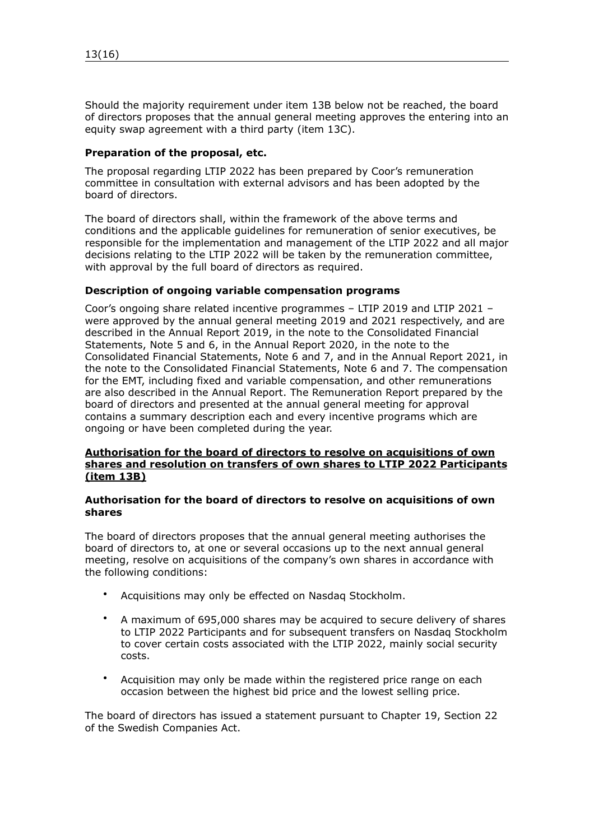Should the majority requirement under item [13B](#page-2-5) below not be reached, the board of directors proposes that the annual general meeting approves the entering into an equity swap agreement with a third party (item [13C](#page-2-5)).

## **Preparation of the proposal, etc.**

The proposal regarding LTIP 2022 has been prepared by Coor's remuneration committee in consultation with external advisors and has been adopted by the board of directors.

The board of directors shall, within the framework of the above terms and conditions and the applicable guidelines for remuneration of senior executives, be responsible for the implementation and management of the LTIP 2022 and all major decisions relating to the LTIP 2022 will be taken by the remuneration committee, with approval by the full board of directors as required.

### **Description of ongoing variable compensation programs**

Coor's ongoing share related incentive programmes – LTIP 2019 and LTIP 2021 – were approved by the annual general meeting 2019 and 2021 respectively, and are described in the Annual Report 2019, in the note to the Consolidated Financial Statements, Note 5 and 6, in the Annual Report 2020, in the note to the Consolidated Financial Statements, Note 6 and 7, and in the Annual Report 2021, in the note to the Consolidated Financial Statements, Note 6 and 7. The compensation for the EMT, including fixed and variable compensation, and other remunerations are also described in the Annual Report. The Remuneration Report prepared by the board of directors and presented at the annual general meeting for approval contains a summary description each and every incentive programs which are ongoing or have been completed during the year.

## **Authorisation for the board of directors to resolve on acquisitions of own shares and resolution on transfers of own shares to LTIP 2022 Participants (item [13](#page-2-5)B)**

### **Authorisation for the board of directors to resolve on acquisitions of own shares**

The board of directors proposes that the annual general meeting authorises the board of directors to, at one or several occasions up to the next annual general meeting, resolve on acquisitions of the company's own shares in accordance with the following conditions:

- Acquisitions may only be effected on Nasdaq Stockholm.
- A maximum of 695,000 shares may be acquired to secure delivery of shares to LTIP 2022 Participants and for subsequent transfers on Nasdaq Stockholm to cover certain costs associated with the LTIP 2022, mainly social security costs.
- Acquisition may only be made within the registered price range on each occasion between the highest bid price and the lowest selling price.

The board of directors has issued a statement pursuant to Chapter 19, Section 22 of the Swedish Companies Act.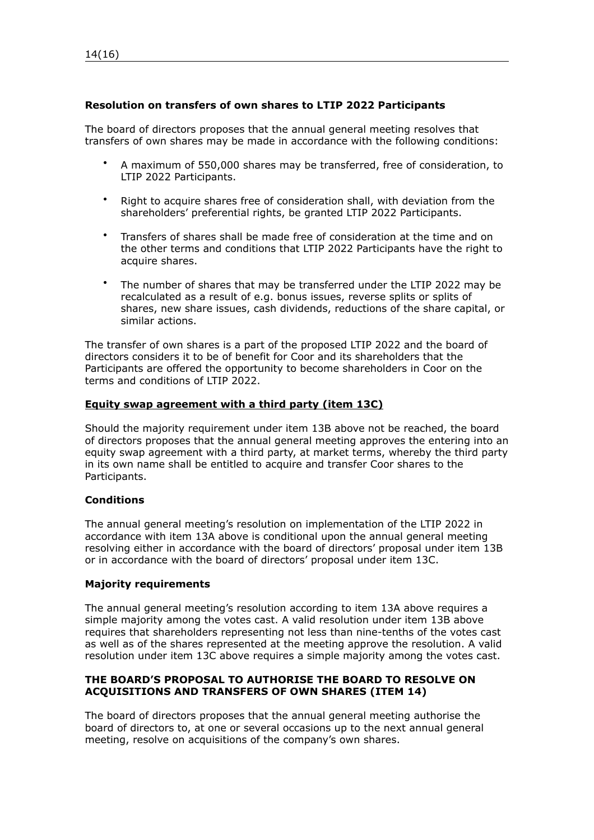# **Resolution on transfers of own shares to LTIP 2022 Participants**

The board of directors proposes that the annual general meeting resolves that transfers of own shares may be made in accordance with the following conditions:

- A maximum of 550,000 shares may be transferred, free of consideration, to LTIP 2022 Participants.
- Right to acquire shares free of consideration shall, with deviation from the shareholders' preferential rights, be granted LTIP 2022 Participants.
- Transfers of shares shall be made free of consideration at the time and on the other terms and conditions that LTIP 2022 Participants have the right to acquire shares.
- The number of shares that may be transferred under the LTIP 2022 may be recalculated as a result of e.g. bonus issues, reverse splits or splits of shares, new share issues, cash dividends, reductions of the share capital, or similar actions.

The transfer of own shares is a part of the proposed LTIP 2022 and the board of directors considers it to be of benefit for Coor and its shareholders that the Participants are offered the opportunity to become shareholders in Coor on the terms and conditions of LTIP 2022.

### **Equity swap agreement with a third party (item [13](#page-2-5)C)**

Should the majority requirement under item [13B](#page-2-5) above not be reached, the board of directors proposes that the annual general meeting approves the entering into an equity swap agreement with a third party, at market terms, whereby the third party in its own name shall be entitled to acquire and transfer Coor shares to the Participants.

### **Conditions**

The annual general meeting's resolution on implementation of the LTIP 2022 in accordance with item [13](#page-2-5)A above is conditional upon the annual general meeting resolving either in accordance with the board of directors' proposal under item [13B](#page-2-5) or in accordance with the board of directors' proposal under item [13](#page-2-5)C.

### **Majority requirements**

The annual general meeting's resolution according to item [13](#page-2-5)A above requires a simple majority among the votes cast. A valid resolution under item [13](#page-2-5)B above requires that shareholders representing not less than nine-tenths of the votes cast as well as of the shares represented at the meeting approve the resolution. A valid resolution under item [13](#page-2-5)C above requires a simple majority among the votes cast.

# **THE BOARD'S PROPOSAL TO AUTHORISE THE BOARD TO RESOLVE ON ACQUISITIONS AND TRANSFERS OF OWN SHARES (ITEM [14](#page-2-6))**

The board of directors proposes that the annual general meeting authorise the board of directors to, at one or several occasions up to the next annual general meeting, resolve on acquisitions of the company's own shares.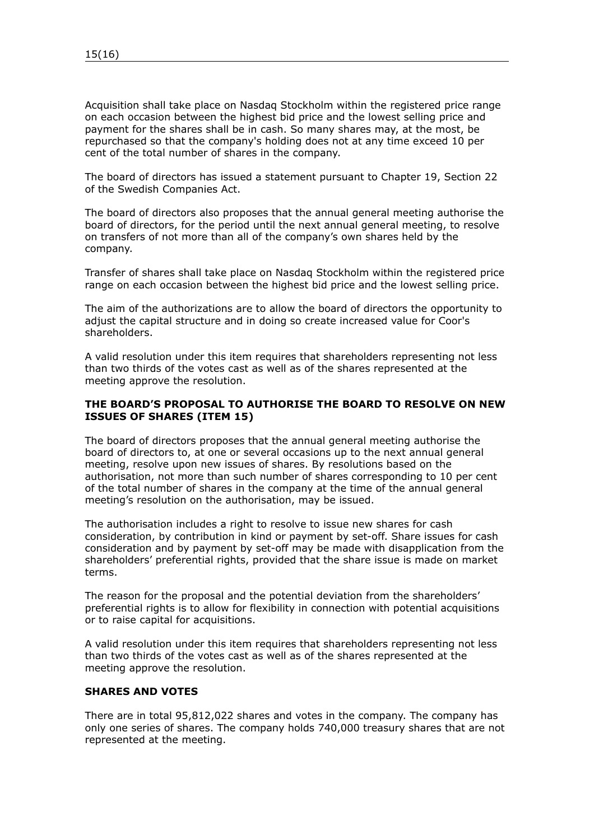Acquisition shall take place on Nasdaq Stockholm within the registered price range on each occasion between the highest bid price and the lowest selling price and payment for the shares shall be in cash. So many shares may, at the most, be repurchased so that the company's holding does not at any time exceed 10 per cent of the total number of shares in the company.

The board of directors has issued a statement pursuant to Chapter 19, Section 22 of the Swedish Companies Act.

The board of directors also proposes that the annual general meeting authorise the board of directors, for the period until the next annual general meeting, to resolve on transfers of not more than all of the company's own shares held by the company.

Transfer of shares shall take place on Nasdaq Stockholm within the registered price range on each occasion between the highest bid price and the lowest selling price.

The aim of the authorizations are to allow the board of directors the opportunity to adjust the capital structure and in doing so create increased value for Coor's shareholders.

A valid resolution under this item requires that shareholders representing not less than two thirds of the votes cast as well as of the shares represented at the meeting approve the resolution.

# **THE BOARD'S PROPOSAL TO AUTHORISE THE BOARD TO RESOLVE ON NEW ISSUES OF SHARES (ITEM [15\)](#page-2-7)**

The board of directors proposes that the annual general meeting authorise the board of directors to, at one or several occasions up to the next annual general meeting, resolve upon new issues of shares. By resolutions based on the authorisation, not more than such number of shares corresponding to 10 per cent of the total number of shares in the company at the time of the annual general meeting's resolution on the authorisation, may be issued.

The authorisation includes a right to resolve to issue new shares for cash consideration, by contribution in kind or payment by set-off. Share issues for cash consideration and by payment by set-off may be made with disapplication from the shareholders' preferential rights, provided that the share issue is made on market terms.

The reason for the proposal and the potential deviation from the shareholders' preferential rights is to allow for flexibility in connection with potential acquisitions or to raise capital for acquisitions.

A valid resolution under this item requires that shareholders representing not less than two thirds of the votes cast as well as of the shares represented at the meeting approve the resolution.

### **SHARES AND VOTES**

There are in total 95,812,022 shares and votes in the company. The company has only one series of shares. The company holds 740,000 treasury shares that are not represented at the meeting.